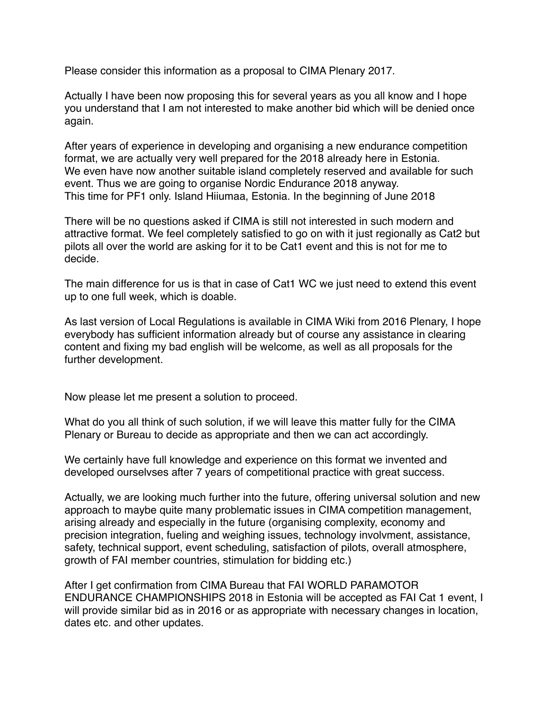Please consider this information as a proposal to CIMA Plenary 2017.

Actually I have been now proposing this for several years as you all know and I hope you understand that I am not interested to make another bid which will be denied once again.

After years of experience in developing and organising a new endurance competition format, we are actually very well prepared for the 2018 already here in Estonia. We even have now another suitable island completely reserved and available for such event. Thus we are going to organise Nordic Endurance 2018 anyway. This time for PF1 only. Island Hiiumaa, Estonia. In the beginning of June 2018

There will be no questions asked if CIMA is still not interested in such modern and attractive format. We feel completely satisfied to go on with it just regionally as Cat2 but pilots all over the world are asking for it to be Cat1 event and this is not for me to decide.

The main difference for us is that in case of Cat1 WC we just need to extend this event up to one full week, which is doable.

As last version of Local Regulations is available in CIMA Wiki from 2016 Plenary, I hope everybody has sufficient information already but of course any assistance in clearing content and fixing my bad english will be welcome, as well as all proposals for the further development.

Now please let me present a solution to proceed.

What do you all think of such solution, if we will leave this matter fully for the CIMA Plenary or Bureau to decide as appropriate and then we can act accordingly.

We certainly have full knowledge and experience on this format we invented and developed ourselvses after 7 years of competitional practice with great success.

Actually, we are looking much further into the future, offering universal solution and new approach to maybe quite many problematic issues in CIMA competition management, arising already and especially in the future (organising complexity, economy and precision integration, fueling and weighing issues, technology involvment, assistance, safety, technical support, event scheduling, satisfaction of pilots, overall atmosphere, growth of FAI member countries, stimulation for bidding etc.)

After I get confirmation from CIMA Bureau that FAI WORLD PARAMOTOR ENDURANCE CHAMPIONSHIPS 2018 in Estonia will be accepted as FAI Cat 1 event, I will provide similar bid as in 2016 or as appropriate with necessary changes in location, dates etc. and other updates.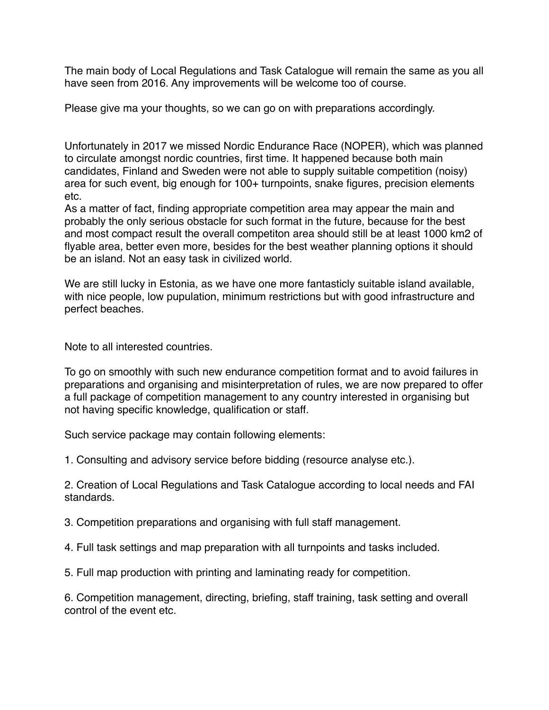The main body of Local Regulations and Task Catalogue will remain the same as you all have seen from 2016. Any improvements will be welcome too of course.

Please give ma your thoughts, so we can go on with preparations accordingly.

Unfortunately in 2017 we missed Nordic Endurance Race (NOPER), which was planned to circulate amongst nordic countries, first time. It happened because both main candidates, Finland and Sweden were not able to supply suitable competition (noisy) area for such event, big enough for 100+ turnpoints, snake figures, precision elements etc.

As a matter of fact, finding appropriate competition area may appear the main and probably the only serious obstacle for such format in the future, because for the best and most compact result the overall competiton area should still be at least 1000 km2 of flyable area, better even more, besides for the best weather planning options it should be an island. Not an easy task in civilized world.

We are still lucky in Estonia, as we have one more fantasticly suitable island available, with nice people, low pupulation, minimum restrictions but with good infrastructure and perfect beaches.

Note to all interested countries.

To go on smoothly with such new endurance competition format and to avoid failures in preparations and organising and misinterpretation of rules, we are now prepared to offer a full package of competition management to any country interested in organising but not having specific knowledge, qualification or staff.

Such service package may contain following elements:

1. Consulting and advisory service before bidding (resource analyse etc.).

2. Creation of Local Regulations and Task Catalogue according to local needs and FAI standards.

3. Competition preparations and organising with full staff management.

4. Full task settings and map preparation with all turnpoints and tasks included.

5. Full map production with printing and laminating ready for competition.

6. Competition management, directing, briefing, staff training, task setting and overall control of the event etc.